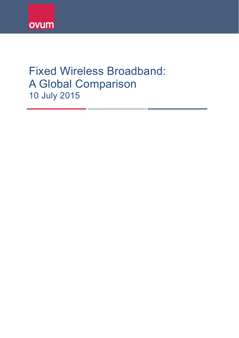# Fixed Wireless Broadband: A Global Comparison 10 July 2015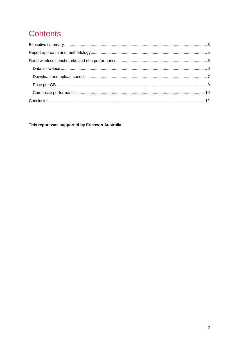# **Contents**

This report was supported by Ericsson Australia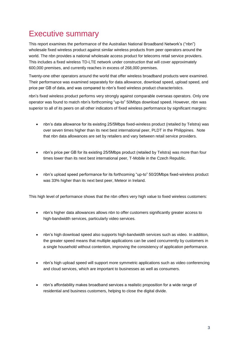## <span id="page-2-0"></span>Executive summary

This report examines the performance of the Australian National Broadband Network's ("nbn") wholesale fixed wireless product against similar wireless products from peer operators around the world. The nbn provides a national wholesale access product for telecoms retail service providers. This includes a fixed wireless TD-LTE network under construction that will cover approximately 600,000 premises, and currently reaches in excess of 268,000 premises.

Twenty-one other operators around the world that offer wireless broadband products were examined. Their performance was examined separately for data allowance, download speed, upload speed, and price per GB of data, and was compared to nbn's fixed wireless product characteristics.

nbn's fixed wireless product performs very strongly against comparable overseas operators. Only one operator was found to match nbn's forthcoming "up-to" 50Mbps download speed. However, nbn was superior to all of its peers on all other indicators of fixed wireless performance by significant margins:

- nbn's data allowance for its existing 25/5Mbps fixed-wireless product (retailed by Telstra) was over seven times higher than its next best international peer, PLDT in the Philippines. Note that nbn data allowances are set by retailers and vary between retail service providers.
- nbn's price per GB for its existing 25/5Mbps product (retailed by Telstra) was more than four times lower than its next best international peer, T-Mobile in the Czech Republic.
- nbn's upload speed performance for its forthcoming "up-to" 50/20Mbps fixed-wireless product was 33% higher than its next best peer, Meteor in Ireland.

This high level of performance shows that the nbn offers very high value to fixed wireless customers:

- nbn's higher data allowances allows nbn to offer customers significantly greater access to high-bandwidth services, particularly video services.
- nbn's high download speed also supports high-bandwidth services such as video. In addition, the greater speed means that multiple applications can be used concurrently by customers in a single household without contention, improving the consistency of application performance.
- nbn's high upload speed will support more symmetric applications such as video conferencing and cloud services, which are important to businesses as well as consumers.
- nbn's affordability makes broadband services a realistic proposition for a wide range of residential and business customers, helping to close the digital divide.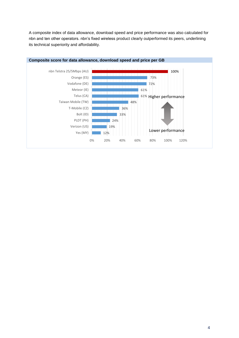A composite index of data allowance, download speed and price performance was also calculated for nbn and ten other operators. nbn's fixed wireless product clearly outperformed its peers, underlining its technical superiority and affordability.

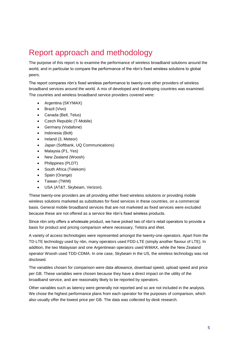## <span id="page-4-0"></span>Report approach and methodology

The purpose of this report is to examine the performance of wireless broadband solutions around the world, and in particular to compare the performance of the nbn's fixed wireless solutions to global peers.

The report compares nbn's fixed wireless performance to twenty-one other providers of wireless broadband services around the world. A mix of developed and developing countries was examined. The countries and wireless broadband service providers covered were:

- Argentina (SKYMAX)
- Brazil (Vivo)
- Canada (Bell, Telus)
- Czech Republic (T-Mobile)
- Germany (Vodafone)
- Indonesia (Bolt)
- Ireland (3, Meteor)
- Japan (Softbank, UQ Communications)
- Malaysia (P1, Yes)
- New Zealand (Woosh)
- Philippines (PLDT)
- South Africa (Telekom)
- Spain (Orange)
- Taiwan (TWM)
- USA (AT&T, Skybeam, Verizon).

These twenty-one providers are all providing either fixed wireless solutions or providing mobile wireless solutions marketed as substitutes for fixed services in these countries, on a commercial basis. General mobile broadband services that are not marketed as fixed services were excluded because these are not offered as a service like nbn's fixed wireless products.

Since nbn only offers a wholesale product, we have picked two of nbn's retail operators to provide a basis for product and pricing comparison where necessary, Telstra and iiNet.

A variety of access technologies were represented amongst the twenty-one operators. Apart from the TD-LTE technology used by nbn, many operators used FDD-LTE (simply another flavour of LTE). In addition, the two Malaysian and one Argentinean operators used WiMAX, while the New Zealand operator Woosh used TDD-CDMA. In one case, Skybeam in the US, the wireless technology was not disclosed.

The variables chosen for comparison were data allowance, download speed, upload speed and price per GB. These variables were chosen because they have a direct impact on the utility of the broadband service, and are reasonably likely to be reported by operators.

Other variables such as latency were generally not reported and so are not included in the analysis. We chose the highest performance plans from each operator for the purposes of comparison, which also usually offer the lowest price per GB. The data was collected by desk research.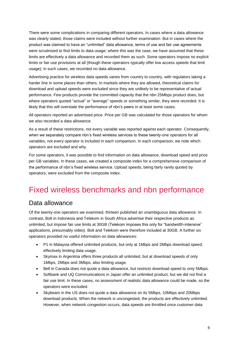There were some complications in comparing different operators. In cases where a data allowance was clearly stated, those claims were included without further examination. But in cases where the product was claimed to have an "unlimited" data allowance, terms of use and fair use agreements were scrutinised to find limits to data usage; where this was the case, we have assumed that these limits are effectively a data allowance and recorded them as such. Some operators impose no explicit limits or fair use provisions at all (though these operators typically offer low access speeds that limit usage); in such cases, we recorded no data allowance.

Advertising practice for wireless data speeds varies from country to country, with regulators taking a harder line in some places than others. In markets where they are allowed, theoretical claims for download and upload speeds were excluded since they are unlikely to be representative of actual performance. Few products provide the committed capacity that the nbn 25Mbps product does, but where operators quoted "actual" or "average" speeds or something similar, they were recorded. It is likely that this will overstate the performance of nbn's peers in at least some cases.

All operators reported an advertised price. Price per GB was calculated for those operators for whom we also recorded a data allowance.

As a result of these restrictions, not every variable was reported against each operator. Consequently, when we separately compare nbn's fixed wireless services to these twenty-one operators for all variables, not every operator is included in each comparison. In each comparison, we note which operators are excluded and why.

For some operators, it was possible to find information on data allowance, download speed and price per GB variables. In these cases, we created a composite index for a comprehensive comparison of the performance of nbn's fixed wireless service. Upload speeds, being fairly rarely quoted by operators, were excluded from the composite index.

## <span id="page-5-0"></span>Fixed wireless benchmarks and nbn performance

#### <span id="page-5-1"></span>Data allowance

Of the twenty-one operators we examined, thirteen published an unambiguous data allowance. In contrast, Bolt in Indonesia and Telekom in South Africa advertise their respective products as unlimited, but impose fair use limits at 30GB (Telekom imposes this only for "bandwidth-intensive" applications, presumably video). Bolt and Telekom were therefore included at 30GB. A further six operators provided no useful information on data allowances:

- P1 in Malaysia offered unlimited products, but only at 1Mbps and 2Mbps download speed, effectively limiting data usage.
- Skymax in Argentina offers three products all unlimited, but at download speeds of only 1Mbps, 2Mbps and 3Mbps, also limiting usage.
- Bell in Canada does not quote a data allowance, but restricts download speed to only 5Mbps.
- Softbank and UQ Communications in Japan offer an unlimited product, but we did not find a fair use limit. In these cases, no assessment of realistic data allowance could be made, so the operators were excluded.
- Skybeam in the US does not quote a data allowance on its 5Mbps, 10Mbps and 20Mbps download products. When the network is uncongested, the products are effectively unlimited. However, when network congestion occurs, data speeds are throttled once customer data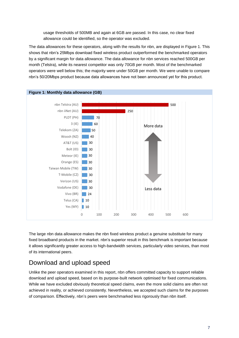usage thresholds of 500MB and again at 6GB are passed. In this case, no clear fixed allowance could be identified, so the operator was excluded.

The data allowances for these operators, along with the results for nbn, are displayed in Figure 1. This shows that nbn's 25Mbps download fixed wireless product outperformed the benchmarked operators by a significant margin for data allowance. The data allowance for nbn services reached 500GB per month (Telstra), while its nearest competitor was only 70GB per month. Most of the benchmarked operators were well below this; the majority were under 50GB per month. We were unable to compare nbn's 50/20Mbps product because data allowances have not been announced yet for this product.



The large nbn data allowance makes the nbn fixed wireless product a genuine substitute for many fixed broadband products in the market. nbn's superior result in this benchmark is important because it allows significantly greater access to high-bandwidth services, particularly video services, than most of its international peers.

### <span id="page-6-0"></span>Download and upload speed

Unlike the peer operators examined in this report, nbn offers committed capacity to support reliable download and upload speed, based on its purpose-built network optimised for fixed communications. While we have excluded obviously theoretical speed claims, even the more solid claims are often not achieved in reality, or achieved consistently. Nevertheless, we accepted such claims for the purposes of comparison. Effectively, nbn's peers were benchmarked less rigorously than nbn itself.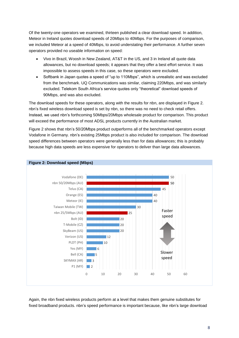Of the twenty-one operators we examined, thirteen published a clear download speed. In addition, Meteor in Ireland quotes download speeds of 20Mbps to 40Mbps. For the purposes of comparison, we included Meteor at a speed of 40Mbps, to avoid understating their performance. A further seven operators provided no useable information on speed:

- Vivo in Brazil, Woosh in New Zealand, AT&T in the US, and 3 in Ireland all quote data allowances, but no download speeds; it appears that they offer a best effort service. It was impossible to assess speeds in this case, so these operators were excluded.
- Softbank in Japan quotes a speed of "up to 110Mbps", which is unrealistic and was excluded from the benchmark. UQ Communications was similar, claiming 220Mbps, and was similarly excluded. Telekom South Africa's service quotes only "theoretical" download speeds of 90Mbps, and was also excluded.

The download speeds for these operators, along with the results for nbn, are displayed in Figure 2. nbn's fixed wireless download speed is set by nbn, so there was no need to check retail offers. Instead, we used nbn's forthcoming 50Mbps/20Mbps wholesale product for comparison. This product will exceed the performance of most ADSL products currently in the Australian market.

Figure 2 shows that nbn's 50/20Mbps product outperforms all of the benchmarked operators except Vodafone in Germany. nbn's existing 25Mbps product is also included for comparison. The download speed differences between operators were generally less than for data allowances; this is probably because high data speeds are less expensive for operators to deliver than large data allowances.



**Figure 2: Download speed (Mbps)**

Again, the nbn fixed wireless products perform at a level that makes them genuine substitutes for fixed broadband products. nbn's speed performance is important because, like nbn's large download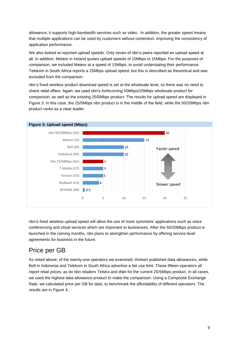allowance, it supports high-bandwidth services such as video. In addition, the greater speed means that multiple applications can be used by customers without contention, improving the consistency of application performance.

We also looked at reported upload speeds. Only seven of nbn's peers reported an upload speed at all. In addition, Meteor in Ireland quotes upload speeds of 10Mbps to 15Mbps. For the purposes of comparison, we included Meteor at a speed of 15Mbps, to avoid understating their performance. Telekom in South Africa reports a 25Mbps upload speed, but this is described as theoretical and was excluded from the comparison.

nbn's fixed wireless product download speed is set at the wholesale level, so there was no need to check retail offers. Again, we used nbn's forthcoming 50Mbps/20Mbps wholesale product for comparison, as well as the existing 25/5Mbps product. The results for upload speed are displayed in Figure 3. In this case, the 25/5Mbps nbn product is in the middle of the field, while the 50/20Mbps nbn product ranks as a clear leader.



nbn's fixed wireless upload speed will allow the use of more symmetric applications such as voice conferencing and cloud services which are important to businesses. After the 50/20Mbps product is launched in the coming months, nbn plans to strengthen performance by offering service level agreements for business in the future.

### <span id="page-8-0"></span>Price per GB

As noted above, of the twenty-one operators we examined, thirteen published data allowances, while Bolt in Indonesia and Telekom in South Africa advertise a fair use limit. These fifteen operators all report retail prices, as do nbn retailers Telstra and iiNet for the current 25/5Mbps product. In all cases, we used the highest data allowance product to make the comparison. Using a Composite Exchange Rate, we calculated price per GB for data, to benchmark the affordability of different operators. The results are in Figure 4.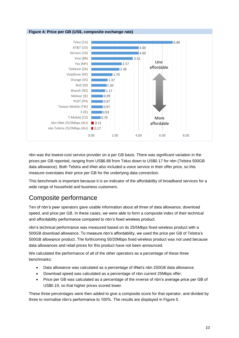

nbn was the lowest-cost service provider on a per GB basis. There was significant variation in the prices per GB reported, ranging from US\$6.88 from Telus down to US\$0.17 for nbn (Telstra 500GB data allowance). Both Telstra and iiNet also included a voice service in their offer price, so this measure overstates their price per GB for the underlying data connection.

This benchmark is important because it is an indicator of the affordability of broadband services for a wide range of household and business customers.

### <span id="page-9-0"></span>Composite performance

Ten of nbn's peer operators gave usable information about all three of data allowance, download speed, and price per GB. In these cases, we were able to form a composite index of their technical and affordability performance compared to nbn's fixed wireless product.

nbn's technical performance was measured based on its 25/5Mbps fixed wireless product with a 500GB download allowance. To measure nbn's affordability, we used the price per GB of Telstra's 500GB allowance product. The forthcoming 50/20Mbps fixed wireless product was not used because data allowances and retail prices for this product have not been announced.

We calculated the performance of all of the other operators as a percentage of these three benchmarks:

- Data allowance was calculated as a percentage of iiNet's nbn 250GB data allowance.
- Download speed was calculated as a percentage of nbn current 25Mbps offer.
- Price per GB was calculated as a percentage of the inverse of nbn's average price per GB of US\$0.19, so that higher prices scored lower.

These three percentages were then added to give a composite score for that operator, and divided by three to normalise nbn's performance to 100%. The results are displayed in Figure 5.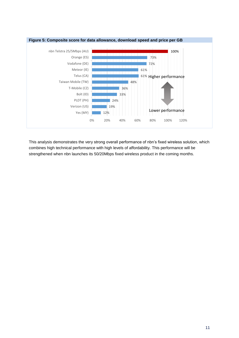

This analysis demonstrates the very strong overall performance of nbn's fixed wireless solution, which combines high technical performance with high levels of affordability. This performance will be strengthened when nbn launches its 50/20Mbps fixed wireless product in the coming months.